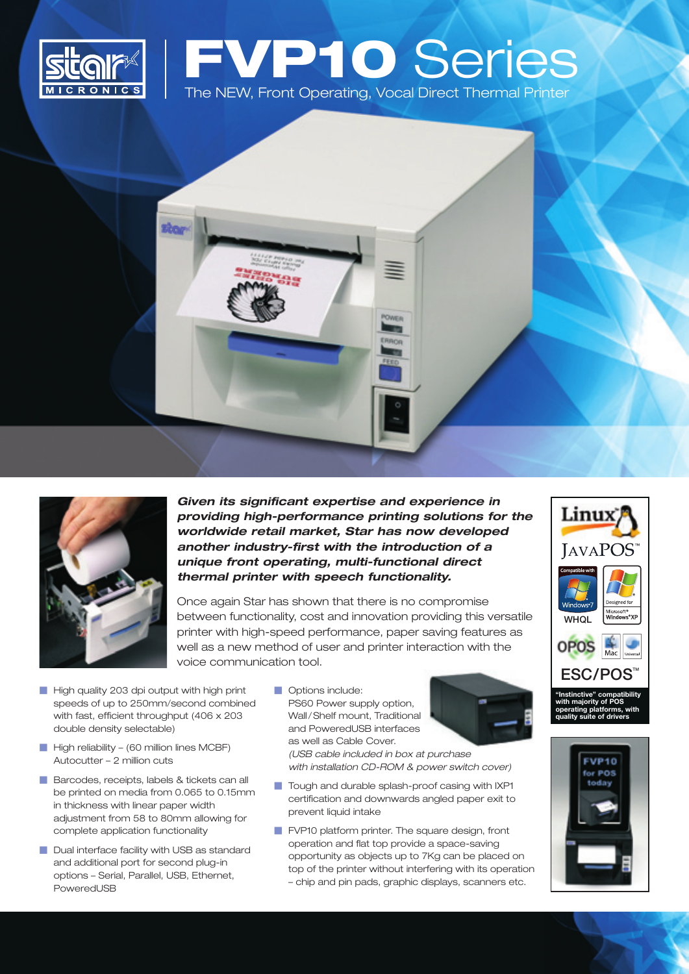

# **FVP10** Series The NEW, Front Operating, Vocal Direct Thermal Printer





*Given its significant expertise and experience in providing high-performance printing solutions for the worldwide retail market, Star has now developed another industry-first with the introduction of a unique front operating, multi-functional direct thermal printer with speech functionality.*

Once again Star has shown that there is no compromise between functionality, cost and innovation providing this versatile printer with high-speed performance, paper saving features as well as a new method of user and printer interaction with the voice communication tool.

- High quality 203 dpi output with high print speeds of up to 250mm/second combined with fast, efficient throughput (406 x 203 double density selectable)
- $\blacksquare$  High reliability (60 million lines MCBF) Autocutter – 2 million cuts
- Barcodes, receipts, labels & tickets can all be printed on media from 0.065 to 0.15mm in thickness with linear paper width adjustment from 58 to 80mm allowing for complete application functionality
- Dual interface facility with USB as standard and additional port for second plug-in options – Serial, Parallel, USB, Ethernet, PoweredUSB
- **Options include:** PS60 Power supply option, Wall/Shelf mount, Traditional and PoweredUSB interfaces as well as Cable Cover.

*(USB cable included in box at purchase with installation CD-ROM & power switch cover)*

- Tough and durable splash-proof casing with IXP1 certification and downwards angled paper exit to prevent liquid intake
- **FVP10 platform printer. The square design, front** operation and flat top provide a space-saving opportunity as objects up to 7Kg can be placed on top of the printer without interfering with its operation – chip and pin pads, graphic displays, scanners etc.



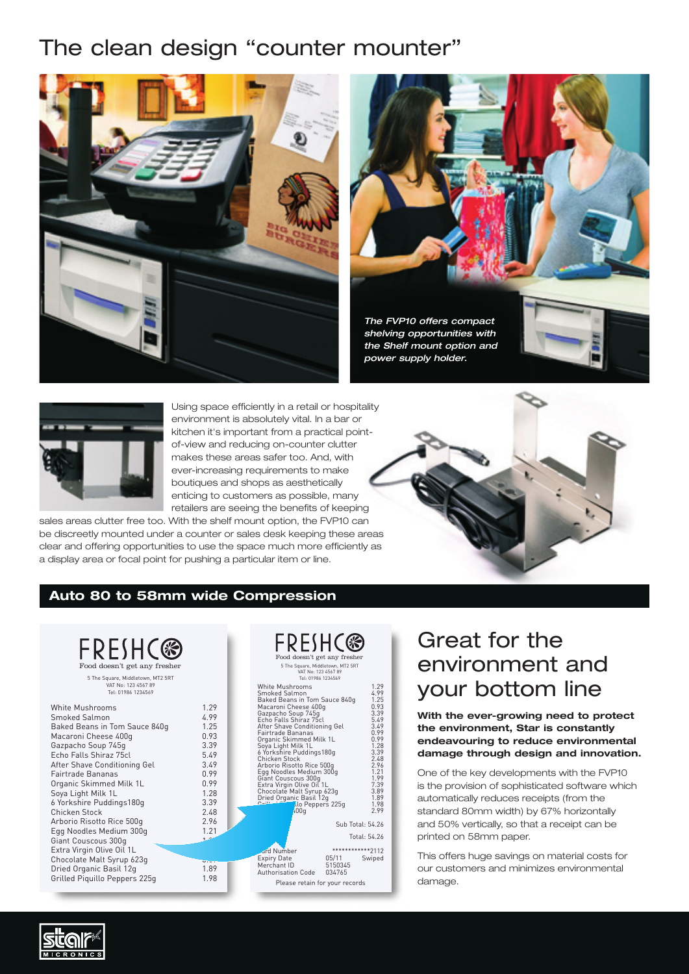# The clean design "counter mounter"







Using space efficiently in a retail or hospitality environment is absolutely vital. In a bar or kitchen it's important from a practical pointof-view and reducing on-counter clutter makes these areas safer too. And, with ever-increasing requirements to make boutiques and shops as aesthetically enticing to customers as possible, many retailers are seeing the benefits of keeping

sales areas clutter free too. With the shelf mount option, the FVP10 can be discreetly mounted under a counter or sales desk keeping these areas clear and offering opportunities to use the space much more efficiently as a display area or focal point for pushing a particular item or line.



#### **Auto 80 to 58mm wide Compression**



### Great for the environment and your bottom line

**With the ever-growing need to protect the environment, Star is constantly endeavouring to reduce environmental damage through design and innovation.**

One of the key developments with the FVP10 is the provision of sophisticated software which automatically reduces receipts (from the standard 80mm width) by 67% horizontally and 50% vertically, so that a receipt can be printed on 58mm paper.

This offers huge savings on material costs for our customers and minimizes environmental damage.

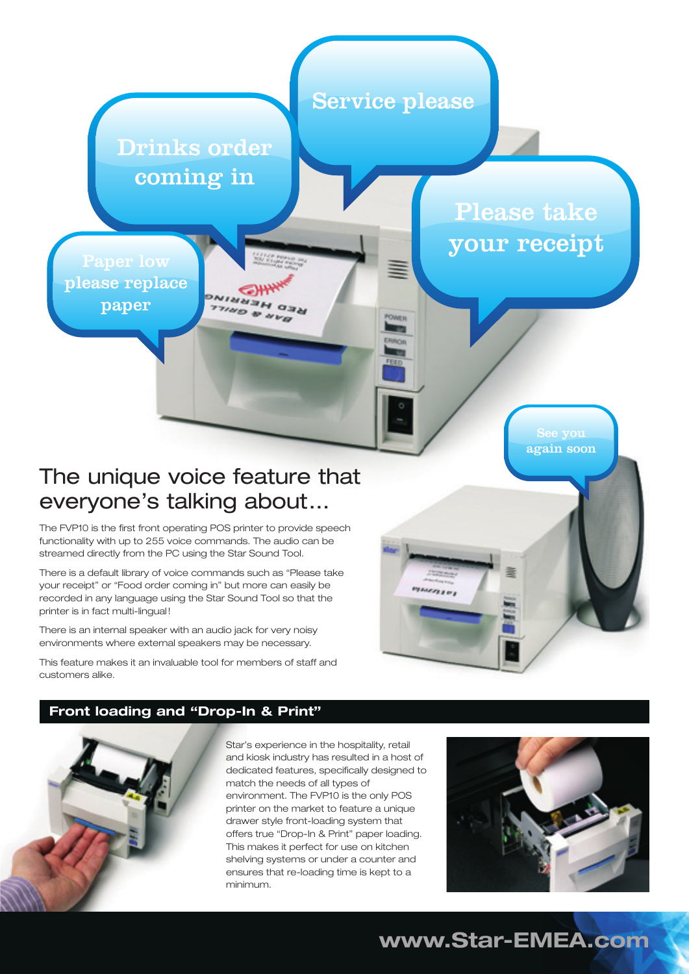

### The unique voice feature that everyone's talking about…

The FVP10 is the first front operating POS printer to provide speech functionality with up to 255 voice commands. The audio can be streamed directly from the PC using the Star Sound Tool.

There is a default library of voice commands such as "Please take your receipt" or "Food order coming in" but more can easily be recorded in any language using the Star Sound Tool so that the printer is in fact multi-lingual!

There is an internal speaker with an audio jack for very noisy environments where external speakers may be necessary.

This feature makes it an invaluable tool for members of staff and customers alike.

### **Front loading and "Drop-In & Print"**



Star's experience in the hospitality, retail and kiosk industry has resulted in a host of dedicated features, specifically designed to match the needs of all types of environment. The FVP10 is the only POS printer on the market to feature a unique drawer style front-loading system that offers true "Drop-In & Print" paper loading. This makes it perfect for use on kitchen shelving systems or under a counter and ensures that re-loading time is kept to a minimum.



**www.Star-EMEA.com**

**LAXERTON**